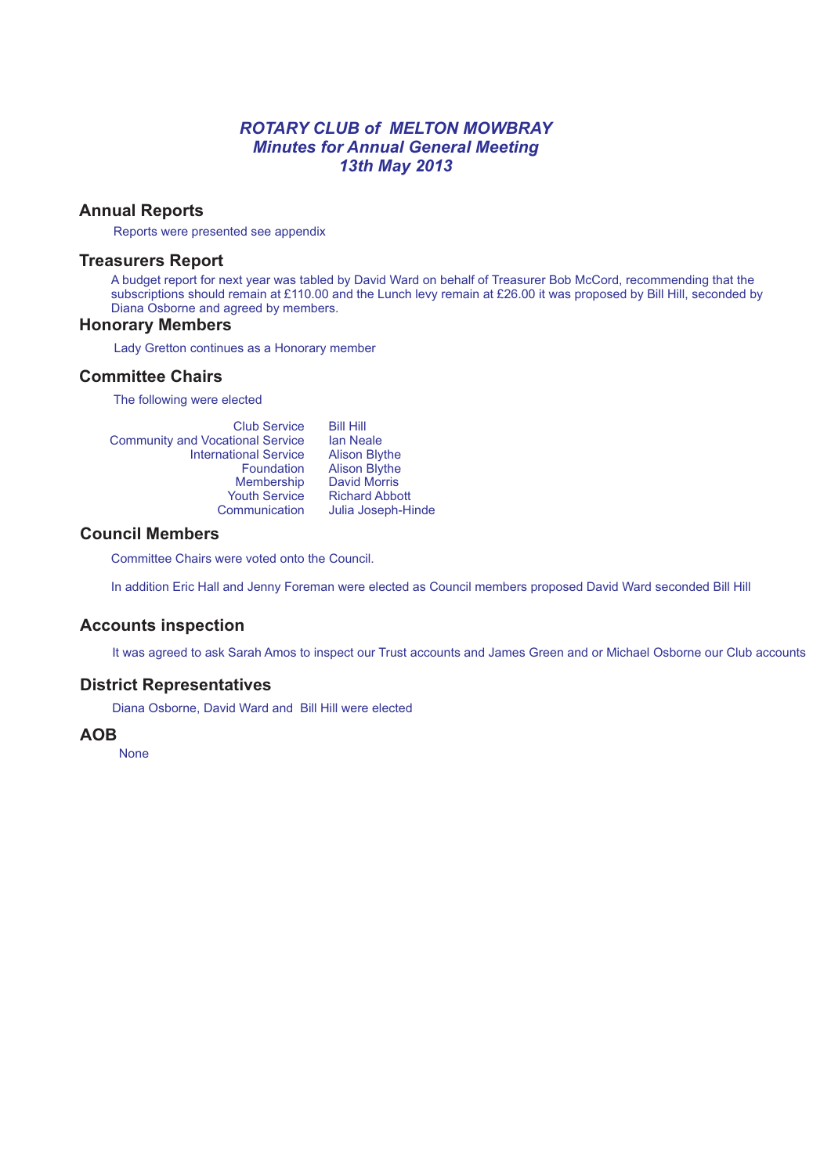## *ROTARY CLUB of MELTON MOWBRAY Minutes for Annual General Meeting 13th May 2013*

## **Annual Reports**

Reports were presented see appendix

#### **Treasurers Report**

A budget report for next year was tabled by David Ward on behalf of Treasurer Bob McCord, recommending that the subscriptions should remain at £110.00 and the Lunch levy remain at £26.00 it was proposed by Bill Hill, seconded by Diana Osborne and agreed by members.

### **Honorary Members**

Lady Gretton continues as a Honorary member

### **Committee Chairs**

The following were elected

| <b>Club Service</b>                     | <b>Bill Hill</b>      |
|-----------------------------------------|-----------------------|
| <b>Community and Vocational Service</b> | <b>lan Neale</b>      |
| <b>International Service</b>            | <b>Alison Blythe</b>  |
| Foundation                              | <b>Alison Blythe</b>  |
| Membership                              | <b>David Morris</b>   |
| <b>Youth Service</b>                    | <b>Richard Abbott</b> |
| Communication                           | Julia Joseph-Hinde    |
|                                         |                       |

### **Council Members**

Committee Chairs were voted onto the Council.

In addition Eric Hall and Jenny Foreman were elected as Council members proposed David Ward seconded Bill Hill

#### **Accounts inspection**

It was agreed to ask Sarah Amos to inspect our Trust accounts and James Green and or Michael Osborne our Club accounts

#### **District Representatives**

Diana Osborne, David Ward and Bill Hill were elected

#### **AOB**

None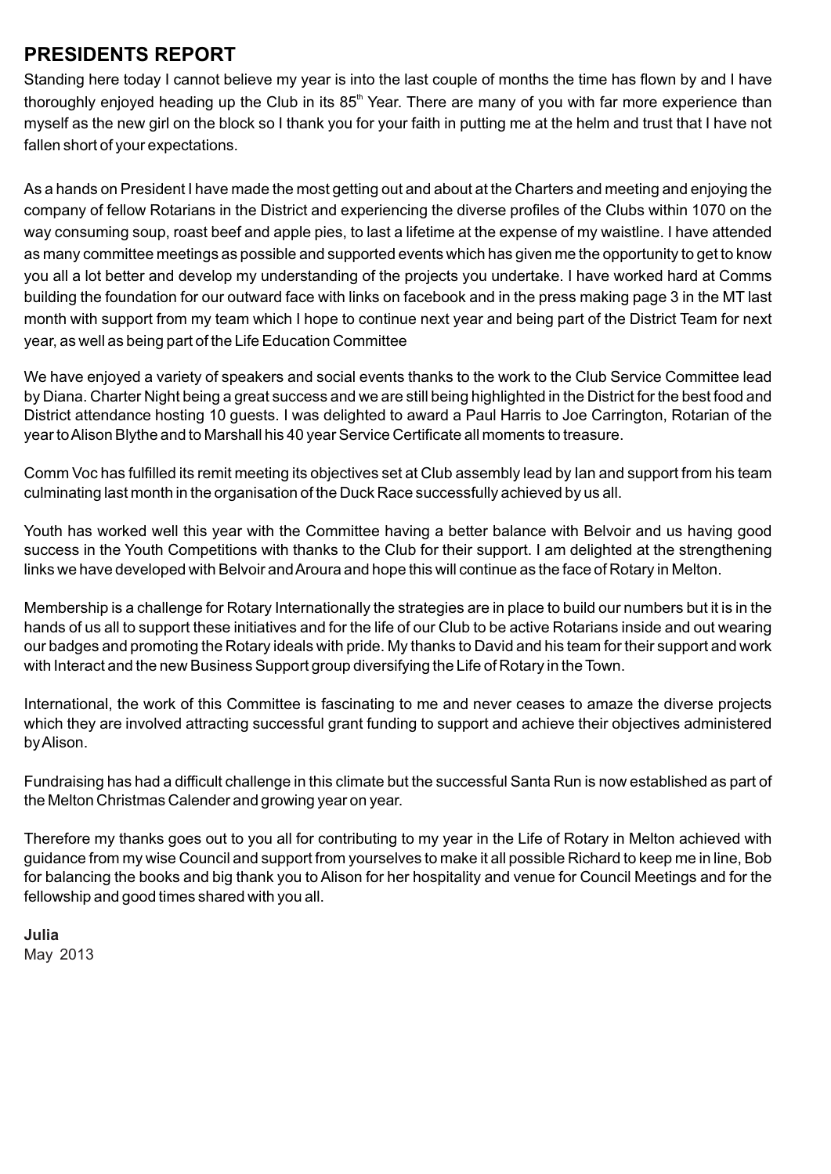# **PRESIDENTS REPORT**

Standing here today I cannot believe my year is into the last couple of months the time has flown by and I have thoroughly enjoyed heading up the Club in its 85<sup>th</sup> Year. There are many of you with far more experience than myself as the new girl on the block so I thank you for your faith in putting me at the helm and trust that I have not fallen short of your expectations.

As a hands on President I have made the most getting out and about at the Charters and meeting and enjoying the company of fellow Rotarians in the District and experiencing the diverse profiles of the Clubs within 1070 on the way consuming soup, roast beef and apple pies, to last a lifetime at the expense of my waistline. I have attended as many committee meetings as possible and supported events which has given me the opportunity to get to know you all a lot better and develop my understanding of the projects you undertake. I have worked hard at Comms building the foundation for our outward face with links on facebook and in the press making page 3 in the MT last month with support from my team which I hope to continue next year and being part of the District Team for next year, as well as being part of the Life Education Committee

We have enjoyed a variety of speakers and social events thanks to the work to the Club Service Committee lead by Diana. Charter Night being a great success and we are still being highlighted in the District for the best food and District attendance hosting 10 guests. I was delighted to award a Paul Harris to Joe Carrington, Rotarian of the year to Alison Blythe and to Marshall his 40 year Service Certificate all moments to treasure.

Comm Voc has fulfilled its remit meeting its objectives set at Club assembly lead by Ian and support from his team culminating last month in the organisation of the Duck Race successfully achieved by us all.

Youth has worked well this year with the Committee having a better balance with Belvoir and us having good success in the Youth Competitions with thanks to the Club for their support. I am delighted at the strengthening links we have developed with Belvoir and Aroura and hope this will continue as the face of Rotary in Melton.

Membership is a challenge for Rotary Internationally the strategies are in place to build our numbers but it is in the hands of us all to support these initiatives and for the life of our Club to be active Rotarians inside and out wearing our badges and promoting the Rotary ideals with pride. My thanks to David and his team for their support and work with Interact and the new Business Support group diversifying the Life of Rotary in the Town.

International, the work of this Committee is fascinating to me and never ceases to amaze the diverse projects which they are involved attracting successful grant funding to support and achieve their objectives administered by Alison.

Fundraising has had a difficult challenge in this climate but the successful Santa Run is now established as part of the Melton Christmas Calender and growing year on year.

Therefore my thanks goes out to you all for contributing to my year in the Life of Rotary in Melton achieved with guidance from my wise Council and support from yourselves to make it all possible Richard to keep me in line, Bob for balancing the books and big thank you to Alison for her hospitality and venue for Council Meetings and for the fellowship and good times shared with you all.

**Julia** May 2013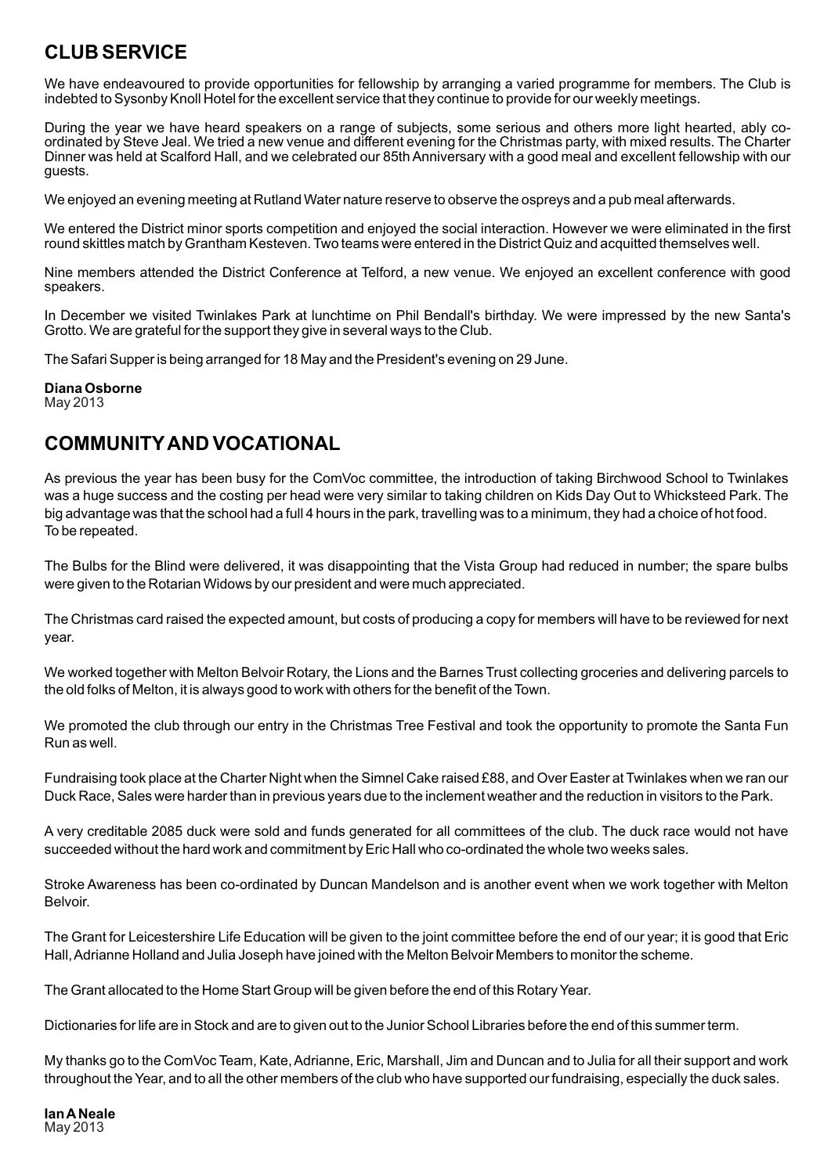# **CLUB SERVICE**

We have endeavoured to provide opportunities for fellowship by arranging a varied programme for members. The Club is indebted to Sysonby Knoll Hotel for the excellent service that they continue to provide for our weekly meetings.

During the year we have heard speakers on a range of subjects, some serious and others more light hearted, ably coordinated by Steve Jeal. We tried a new venue and different evening for the Christmas party, with mixed results. The Charter Dinner was held at Scalford Hall, and we celebrated our 85th Anniversary with a good meal and excellent fellowship with our guests.

We enjoyed an evening meeting at Rutland Water nature reserve to observe the ospreys and a pub meal afterwards.

We entered the District minor sports competition and enjoyed the social interaction. However we were eliminated in the first round skittles match by Grantham Kesteven. Two teams were entered in the District Quiz and acquitted themselves well.

Nine members attended the District Conference at Telford, a new venue. We enjoyed an excellent conference with good speakers.

In December we visited Twinlakes Park at lunchtime on Phil Bendall's birthday. We were impressed by the new Santa's Grotto. We are grateful for the support they give in several ways to the Club.

The Safari Supper is being arranged for 18 May and the President's evening on 29 June.

**Diana Osborne** May 2013

# **COMMUNITYAND VOCATIONAL**

As previous the year has been busy for the ComVoc committee, the introduction of taking Birchwood School to Twinlakes was a huge success and the costing per head were very similar to taking children on Kids Day Out to Whicksteed Park. The big advantage was that the school had a full 4 hours in the park, travelling was to a minimum, they had a choice of hot food. To be repeated.

The Bulbs for the Blind were delivered, it was disappointing that the Vista Group had reduced in number; the spare bulbs were given to the Rotarian Widows by our president and were much appreciated.

The Christmas card raised the expected amount, but costs of producing a copy for members will have to be reviewed for next year.

We worked together with Melton Belvoir Rotary, the Lions and the Barnes Trust collecting groceries and delivering parcels to the old folks of Melton, it is always good to work with others for the benefit of the Town.

We promoted the club through our entry in the Christmas Tree Festival and took the opportunity to promote the Santa Fun Run as well.

Fundraising took place at the Charter Night when the Simnel Cake raised £88, and Over Easter at Twinlakes when we ran our Duck Race, Sales were harder than in previous years due to the inclement weather and the reduction in visitors to the Park.

A very creditable 2085 duck were sold and funds generated for all committees of the club. The duck race would not have succeeded without the hard work and commitment by Eric Hall who co-ordinated the whole two weeks sales.

Stroke Awareness has been co-ordinated by Duncan Mandelson and is another event when we work together with Melton **Belvoir** 

The Grant for Leicestershire Life Education will be given to the joint committee before the end of our year; it is good that Eric Hall, Adrianne Holland and Julia Joseph have joined with the Melton Belvoir Members to monitor the scheme.

The Grant allocated to the Home Start Group will be given before the end of this Rotary Year.

Dictionaries for life are in Stock and are to given out to the Junior School Libraries before the end of this summer term.

My thanks go to the ComVoc Team, Kate, Adrianne, Eric, Marshall, Jim and Duncan and to Julia for all their support and work throughout the Year, and to all the other members of the club who have supported our fundraising, especially the duck sales.

**Ian ANeale**  May 2013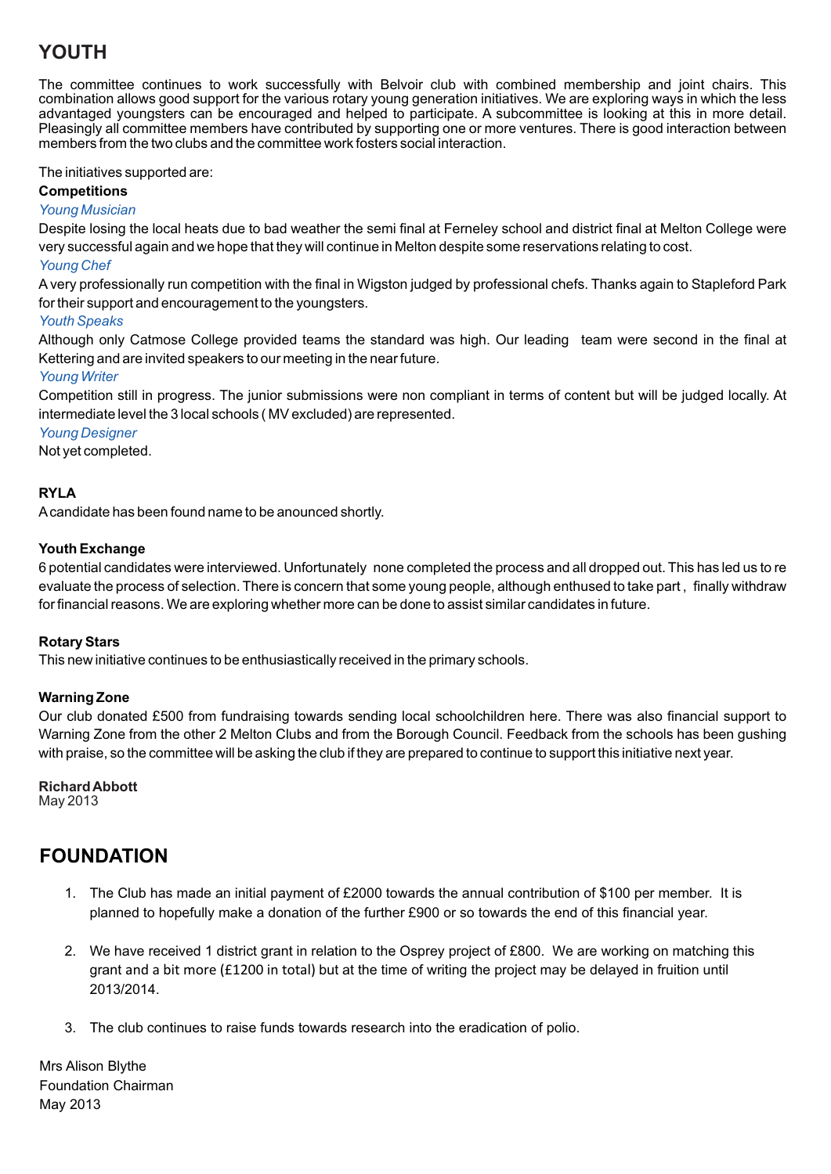# **YOUTH**

The committee continues to work successfully with Belvoir club with combined membership and joint chairs. This combination allows good support for the various rotary young generation initiatives. We are exploring ways in which the less advantaged youngsters can be encouraged and helped to participate. A subcommittee is looking at this in more detail. Pleasingly all committee members have contributed by supporting one or more ventures. There is good interaction between members from the two clubs and the committee work fosters social interaction.

The initiatives supported are:

**Competitions**

*Young Musician*

Despite losing the local heats due to bad weather the semi final at Ferneley school and district final at Melton College were very successful again and we hope that they will continue in Melton despite some reservations relating to cost.

#### *Young Chef*

Avery professionally run competition with the final in Wigston judged by professional chefs. Thanks again to Stapleford Park for their support and encouragement to the youngsters.

## *Youth Speaks*

Although only Catmose College provided teams the standard was high. Our leading team were second in the final at Kettering and are invited speakers to our meeting in the near future.

*Young Writer*

Competition still in progress. The junior submissions were non compliant in terms of content but will be judged locally. At intermediate level the 3 local schools ( MV excluded) are represented.

## *Young Designer*

Not yet completed.

## **RYLA**

Acandidate has been found name to be anounced shortly.

## **Youth Exchange**

6 potential candidates were interviewed. Unfortunately none completed the process and all dropped out. This has led us to re evaluate the process of selection. There is concern that some young people, although enthused to take part , finally withdraw for financial reasons. We are exploring whether more can be done to assist similar candidates in future.

#### **Rotary Stars**

This new initiative continues to be enthusiastically received in the primary schools.

## **Warning Zone**

Our club donated £500 from fundraising towards sending local schoolchildren here. There was also financial support to Warning Zone from the other 2 Melton Clubs and from the Borough Council. Feedback from the schools has been gushing with praise, so the committee will be asking the club if they are prepared to continue to support this initiative next year.

# **Richard Abbott**

May 2013

# **FOUNDATION**

- 1. The Club has made an initial payment of £2000 towards the annual contribution of \$100 per member. It is planned to hopefully make a donation of the further £900 or so towards the end of this financial year.
- 2. We have received 1 district grant in relation to the Osprey project of £800. We are working on matching this grant and a bit more (£1200 in total) but at the time of writing the project may be delayed in fruition until 2013/2014.
- 3. The club continues to raise funds towards research into the eradication of polio.

Mrs Alison Blythe Foundation Chairman May 2013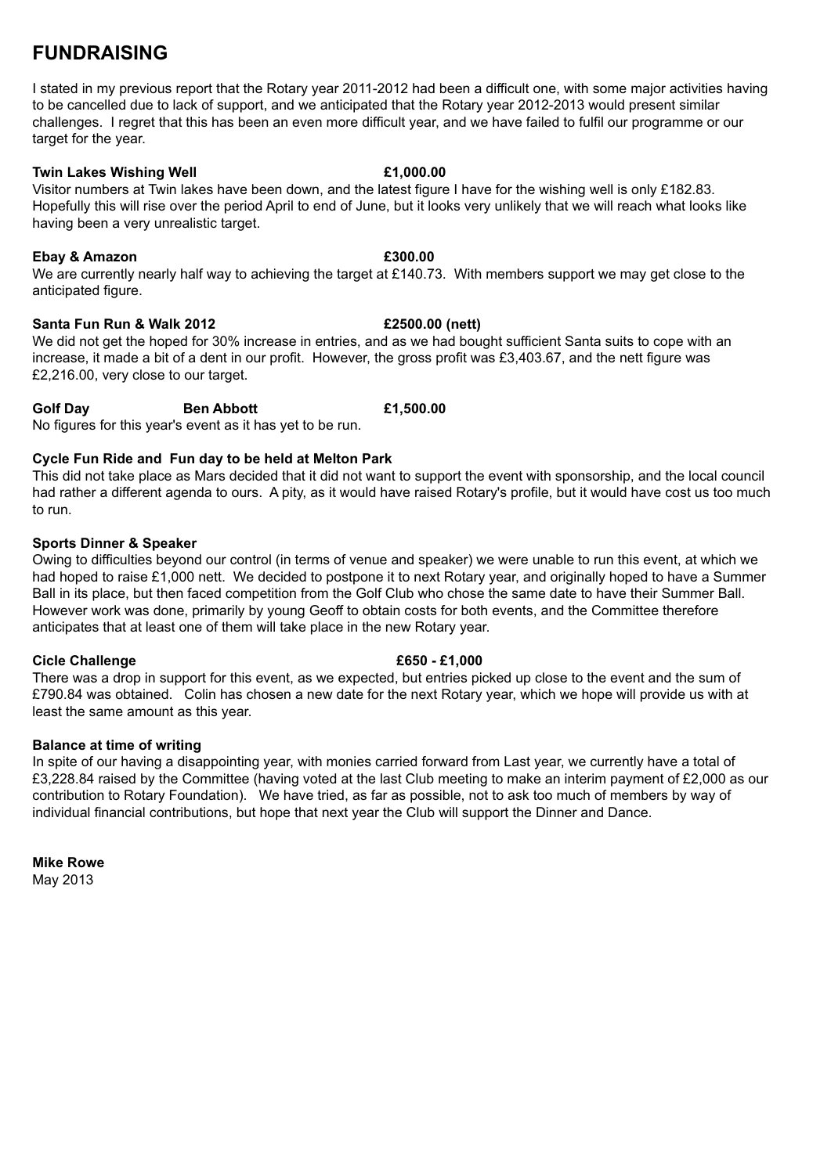# **FUNDRAISING**

I stated in my previous report that the Rotary year 2011-2012 had been a difficult one, with some major activities having to be cancelled due to lack of support, and we anticipated that the Rotary year 2012-2013 would present similar challenges. I regret that this has been an even more difficult year, and we have failed to fulfil our programme or our target for the year.

## **Twin Lakes Wishing Well £1,000.00**

Visitor numbers at Twin lakes have been down, and the latest figure I have for the wishing well is only £182.83. Hopefully this will rise over the period April to end of June, but it looks very unlikely that we will reach what looks like having been a very unrealistic target.

# **Ebay & Amazon £300.00**

We are currently nearly half way to achieving the target at £140.73. With members support we may get close to the anticipated figure.

# **Santa Fun Run & Walk 2012 £2500.00 (nett)**

We did not get the hoped for 30% increase in entries, and as we had bought sufficient Santa suits to cope with an increase, it made a bit of a dent in our profit. However, the gross profit was £3,403.67, and the nett figure was £2,216.00, very close to our target.

# **Golf Day Ben Abbott £1,500.00**

No figures for this year's event as it has yet to be run.

# **Cycle Fun Ride and Fun day to be held at Melton Park**

This did not take place as Mars decided that it did not want to support the event with sponsorship, and the local council had rather a different agenda to ours. A pity, as it would have raised Rotary's profile, but it would have cost us too much to run.

# **Sports Dinner & Speaker**

Owing to difficulties beyond our control (in terms of venue and speaker) we were unable to run this event, at which we had hoped to raise £1,000 nett. We decided to postpone it to next Rotary year, and originally hoped to have a Summer Ball in its place, but then faced competition from the Golf Club who chose the same date to have their Summer Ball. However work was done, primarily by young Geoff to obtain costs for both events, and the Committee therefore anticipates that at least one of them will take place in the new Rotary year.

# **Cicle Challenge £650 - £1,000**

There was a drop in support for this event, as we expected, but entries picked up close to the event and the sum of £790.84 was obtained. Colin has chosen a new date for the next Rotary year, which we hope will provide us with at least the same amount as this year.

# **Balance at time of writing**

In spite of our having a disappointing year, with monies carried forward from Last year, we currently have a total of £3,228.84 raised by the Committee (having voted at the last Club meeting to make an interim payment of £2,000 as our contribution to Rotary Foundation). We have tried, as far as possible, not to ask too much of members by way of individual financial contributions, but hope that next year the Club will support the Dinner and Dance.

**Mike Rowe** May 2013